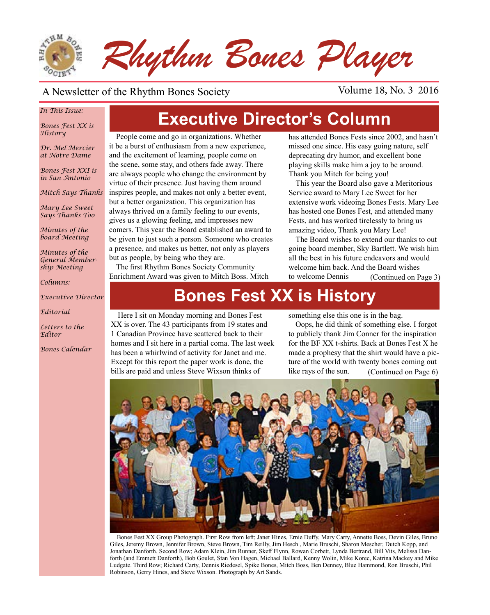

#### A Newsletter of the Rhythm Bones Society Volume 18, No. 3 2016

#### *In This Issue:*

*Bones Fest XX is History*

*Dr. Mel Mercier at Notre Dame*

*Bones Fest XXI is in San Antonio*

*Mitch Says Thanks*

*Mary Lee Sweet Says Thanks Too*

*Minutes of the board Meeting*

*Minutes of the General Membership Meeting*

*Columns:* 

*Executive Director*

*Editorial*

*Letters to the Editor*

*Bones Calendar*

**Executive Director's Column**

People come and go in organizations. Whether it be a burst of enthusiasm from a new experience, and the excitement of learning, people come on the scene, some stay, and others fade away. There are always people who change the environment by virtue of their presence. Just having them around inspires people, and makes not only a better event, but a better organization. This organization has always thrived on a family feeling to our events, gives us a glowing feeling, and impresses new comers. This year the Board established an award to be given to just such a person. Someone who creates a presence, and makes us better, not only as players but as people, by being who they are.

The first Rhythm Bones Society Community Enrichment Award was given to Mitch Boss. Mitch has attended Bones Fests since 2002, and hasn't missed one since. His easy going nature, self deprecating dry humor, and excellent bone playing skills make him a joy to be around. Thank you Mitch for being you!

This year the Board also gave a Meritorious Service award to Mary Lee Sweet for her extensive work videoing Bones Fests. Mary Lee has hosted one Bones Fest, and attended many Fests, and has worked tirelessly to bring us amazing video, Thank you Mary Lee!

The Board wishes to extend our thanks to out going board member, Sky Bartlett. We wish him all the best in his future endeavors and would welcome him back. And the Board wishes to welcome Dennis (Continued on Page 3)

# **Bones Fest XX is History**

Here I sit on Monday morning and Bones Fest XX is over. The 43 participants from 19 states and 1 Canadian Province have scattered back to their homes and I sit here in a partial coma. The last week has been a whirlwind of activity for Janet and me. Except for this report the paper work is done, the bills are paid and unless Steve Wixson thinks of

something else this one is in the bag.

(Continued on Page 6) Oops, he did think of something else. I forgot to publicly thank Jim Conner for the inspiration for the BF XX t-shirts. Back at Bones Fest X he made a prophesy that the shirt would have a picture of the world with twenty bones coming out like rays of the sun.



Bones Fest XX Group Photograph. First Row from left; Janet Hines, Ernie Duffy, Mary Carty, Annette Boss, Devin Giles, Bruno Giles, Jeremy Brown, Jennifer Brown, Steve Brown, Tim Reilly, Jim Hesch , Marie Bruschi, Sharon Mescher, Dutch Kopp, and Jonathan Danforth. Second Row; Adam Klein, Jim Runner, Skeff Flynn, Rowan Corbett, Lynda Bertrand, Bill Vits, Melissa Danforth (and Emmett Danforth), Bob Goulet, Stan Von Hagen, Michael Ballard, Kenny Wolin, Mike Korec, Katrina Mackey and Mike Ludgate. Third Row; Richard Carty, Dennis Riedesel, Spike Bones, Mitch Boss, Ben Denney, Blue Hammond, Ron Bruschi, Phil Robinson, Gerry Hines, and Steve Wixson. Photograph by Art Sands.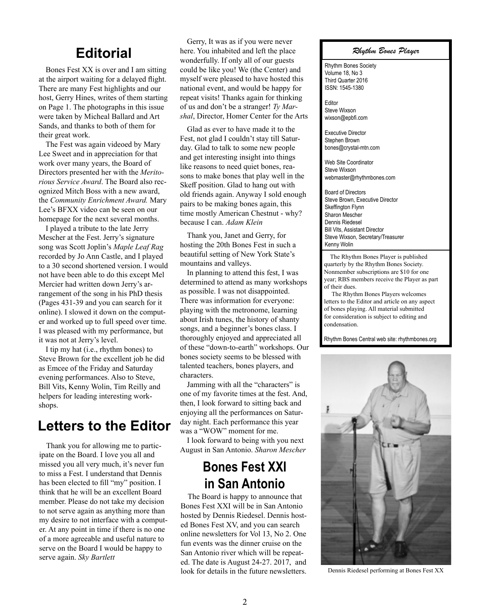#### **Editorial**

Bones Fest XX is over and I am sitting at the airport waiting for a delayed flight. There are many Fest highlights and our host, Gerry Hines, writes of them starting on Page 1. The photographs in this issue were taken by Micheal Ballard and Art Sands, and thanks to both of them for their great work.

The Fest was again videoed by Mary Lee Sweet and in appreciation for that work over many years, the Board of Directors presented her with the *Meritorious Service Award*. The Board also recognized Mitch Boss with a new award, the *Community Enrichment Award.* Mary Lee's BFXX video can be seen on our homepage for the next several months.

I played a tribute to the late Jerry Mescher at the Fest. Jerry's signature song was Scott Joplin's *Maple Leaf Rag*  recorded by Jo Ann Castle, and I played to a 30 second shortened version. I would not have been able to do this except Mel Mercier had written down Jerry's arrangement of the song in his PhD thesis (Pages 431-39 and you can search for it online). I slowed it down on the computer and worked up to full speed over time. I was pleased with my performance, but it was not at Jerry's level.

I tip my hat (i.e., rhythm bones) to Steve Brown for the excellent job he did as Emcee of the Friday and Saturday evening performances. Also to Steve, Bill Vits, Kenny Wolin, Tim Reilly and helpers for leading interesting workshops.

#### **Letters to the Editor**

Thank you for allowing me to participate on the Board. I love you all and missed you all very much, it's never fun to miss a Fest. I understand that Dennis has been elected to fill "my" position. I think that he will be an excellent Board member. Please do not take my decision to not serve again as anything more than my desire to not interface with a computer. At any point in time if there is no one of a more agreeable and useful nature to serve on the Board I would be happy to serve again. *Sky Bartlett*

Gerry, It was as if you were never here. You inhabited and left the place wonderfully. If only all of our guests could be like you! We (the Center) and myself were pleased to have hosted this national event, and would be happy for repeat visits! Thanks again for thinking of us and don't be a stranger! *Ty Marshal*, Director, Homer Center for the Arts

Glad as ever to have made it to the Fest, not glad I couldn't stay till Saturday. Glad to talk to some new people and get interesting insight into things like reasons to need quiet bones, reasons to make bones that play well in the Skeff position. Glad to hang out with old friends again. Anyway I sold enough pairs to be making bones again, this time mostly American Chestnut - why? because I can. *Adam Klein*

Thank you, Janet and Gerry, for hosting the 20th Bones Fest in such a beautiful setting of New York State's mountains and valleys.

In planning to attend this fest, I was determined to attend as many workshops as possible. I was not disappointed. There was information for everyone: playing with the metronome, learning about Irish tunes, the history of shanty songs, and a beginner's bones class. I thoroughly enjoyed and appreciated all of these "down-to-earth" workshops. Our bones society seems to be blessed with talented teachers, bones players, and characters.

Jamming with all the "characters" is one of my favorite times at the fest. And, then, I look forward to sitting back and enjoying all the performances on Saturday night. Each performance this year was a "WOW" moment for me.

I look forward to being with you next August in San Antonio. *Sharon Mescher*

#### **Bones Fest XXI in San Antonio**

The Board is happy to announce that Bones Fest XXI will be in San Antonio hosted by Dennis Riedesel. Dennis hosted Bones Fest XV, and you can search online newsletters for Vol 13, No 2. One fun events was the dinner cruise on the San Antonio river which will be repeated. The date is August 24-27. 2017, and look for details in the future newsletters.

#### *Rhythm Bones Player*

Rhythm Bones Society Volume 18, No 3 Third Quarter 2016 ISSN: 1545-1380

Editor Steve Wixson wixson@epbfi.com

Executive Director Stephen Brown bones@crystal-mtn.com

Web Site Coordinator Steve Wixson webmaster@rhythmbones.com

Board of Directors Steve Brown, Executive Director Skeffington Flynn Sharon Mescher Dennis Riedesel Bill Vits, Assistant Director Steve Wixson, Secretary/Treasurer Kenny Wolin  $\overline{a}$ 

 The Rhythm Bones Player is published quarterly by the Rhythm Bones Society. Nonmember subscriptions are \$10 for one year; RBS members receive the Player as part of their dues.

 The Rhythm Bones Players welcomes letters to the Editor and article on any aspect of bones playing. All material submitted for consideration is subject to editing and condensation.

Rhythm Bones Central web site: rhythmbones.org



Dennis Riedesel performing at Bones Fest XX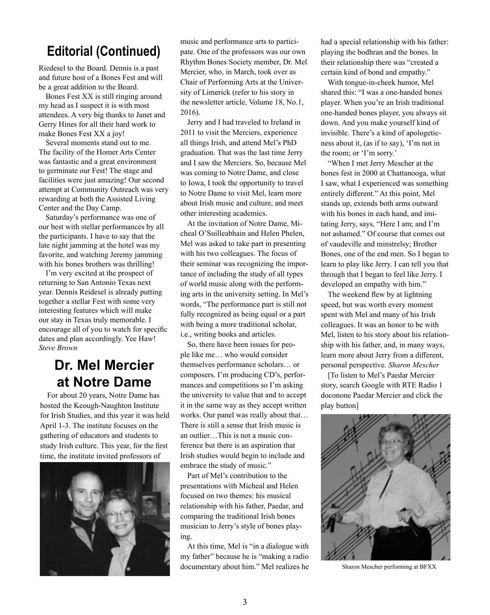#### **Editorial (Continued)**

Riedesel to the Board. Dennis is a past and future host of a Bones Fest and will be a great addition to the Board.

Bones Fest XX is still ringing around my head as I suspect it is with most attendees. A very big thanks to Janet and Gerry Hines for all their hard work to make Bones Fest XX a joy!

Several moments stand out to me. The facility of the Homer Arts Center was fantastic and a great environment to germinate our Fest! The stage and facilities were just amazing! Our second attempt at Community Outreach was very rewarding at both the Assisted Living Center and the Day Camp.

Saturday's performance was one of our best with stellar performances by all the participants. I have to say that the late night jamming at the hotel was my favorite, and watching Jeremy jamming with his bones brothers was thrilling!

I'm very excited at the prospect of returning to San Antonio Texas next year. Dennis Reidesel is already putting together a stellar Fest with some very interesting features which will make our stay in Texas truly memorable. I encourage all of you to watch for specific dates and plan accordingly. Yee Haw! *Steve Brown*

## **Dr. Mel Mercier at Notre Dame**

For about 20 years, Notre Dame has hosted the Keough-Naughton Institute for Irish Studies, and this year it was held April 1-3. The institute focuses on the gathering of educators and students to study Irish culture. This year, for the first time, the institute invited professors of



music and performance arts to participate. One of the professors was our own Rhythm Bones Society member, Dr. Mel Mercier, who, in March, took over as Chair of Performing Arts at the University of Limerick (refer to his story in the newsletter article, Volume 18, No.1, 2016).

Jerry and I had traveled to Ireland in 2011 to visit the Merciers, experience all things Irish, and attend Mel's PhD graduation. That was the last time Jerry and I saw the Merciers. So, because Mel was coming to Notre Dame, and close to Iowa, I took the opportunity to travel to Notre Dame to visit Mel, learn more about Irish music and culture, and meet other interesting academics.

At the invitation of Notre Dame, Micheal O'Suilleabhain and Helen Phelen, Mel was asked to take part in presenting with his two colleagues. The focus of their seminar was recognizing the importance of including the study of all types of world music along with the performing arts in the university setting. In Mel's words, "The performance part is still not fully recognized as being equal or a part with being a more traditional scholar, i.e., writing books and articles.

So, there have been issues for people like me… who would consider themselves performance scholars… or composers. I'm producing CD's, performances and competitions so I'm asking the university to value that and to accept it in the same way as they accept written works. Our panel was really about that… There is still a sense that Irish music is an outlier…This is not a music conference but there is an aspiration that Irish studies would begin to include and embrace the study of music."

Part of Mel's contribution to the presentations with Micheal and Helen focused on two themes: his musical relationship with his father, Paedar, and comparing the traditional Irish bones musician to Jerry's style of bones playing.

At this time, Mel is "in a dialogue with my father" because he is "making a radio documentary about him." Mel realizes he had a special relationship with his father: playing the bodhran and the bones. In their relationship there was "created a certain kind of bond and empathy."

With tongue-in-cheek humor, Mel shared this: "I was a one-handed bones player. When you're an Irish traditional one-handed bones player, you always sit down. And you make yourself kind of invisible. There's a kind of apologeticness about it, (as if to say), 'I'm not in the room; or 'I'm sorry.'

"When I met Jerry Mescher at the bones fest in 2000 at Chattanooga, what I saw, what I experienced was something entirely different." At this point, Mel stands up, extends both arms outward with his bones in each hand, and imitating Jerry, says, "Here I am; and I'm not ashamed." Of course that comes out of vaudeville and minstrelsy; Brother Bones, one of the end men. So I began to learn to play like Jerry. I can tell you that through that I began to feel like Jerry. I developed an empathy with him."

The weekend flew by at lightning speed, but was worth every moment spent with Mel and many of his Irish colleagues. It was an honor to be with Mel, listen to his story about his relationship with his father, and, in many ways, learn more about Jerry from a different, personal perspective. *Sharon Mescher*

[To listen to Mel's Paedar Mercier story, search Google with RTE Radio 1 doconone Paedar Mercier and click the play button]



Sharon Mescher performing at BFXX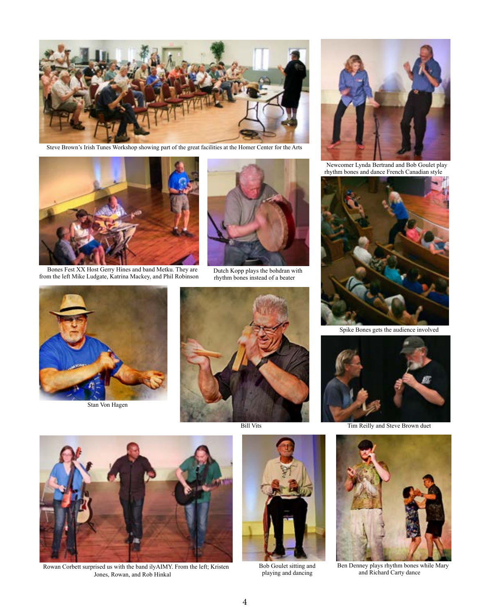

Steve Brown's Irish Tunes Workshop showing part of the great facilities at the Homer Center for the Arts



Bones Fest XX Host Gerry Hines and band Metku. They are from the left Mike Ludgate, Katrina Mackey, and Phil Robinson



Stan Von Hagen



Dutch Kopp plays the bohdran with rhythm bones instead of a beater



Bill Vits



Newcomer Lynda Bertrand and Bob Goulet play rhythm bones and dance French Canadian style



Spike Bones gets the audience involved



Tim Reilly and Steve Brown duet



Ben Denney plays rhythm bones while Mary and Richard Carty dance



Rowan Corbett surprised us with the band ilyAIMY. From the left; Kristen Jones, Rowan, and Rob Hinkal

Bob Goulet sitting and playing and dancing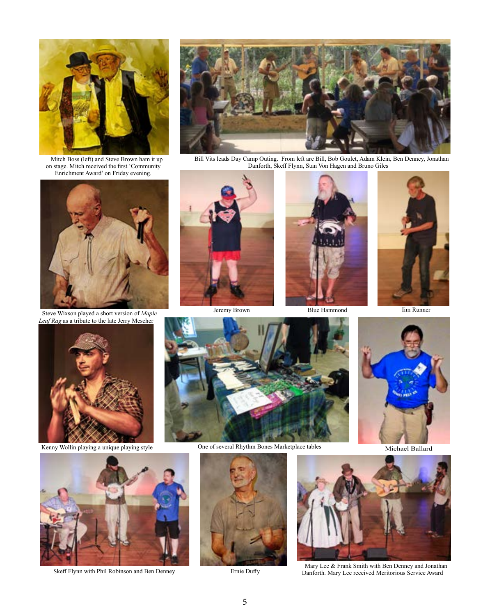

Mitch Boss (left) and Steve Brown ham it up on stage. Mitch received the first 'Community Enrichment Award' on Friday evening.



Steve Wixson played a short version of *Maple Leaf Rag* as a tribute to the late Jerry Mescher



Bill Vits leads Day Camp Outing. From left are Bill, Bob Goulet, Adam Klein, Ben Denney, Jonathan Danforth, Skeff Flynn, Stan Von Hagen and Bruno Giles



Jeremy Brown Blue Hammond Iim Runner





Michael Ballard





Skeff Flynn with Phil Robinson and Ben Denney Ernie Duffy



Kenny Wollin playing a unique playing style One of several Rhythm Bones Marketplace tables





Mary Lee & Frank Smith with Ben Denney and Jonathan Danforth. Mary Lee received Meritorious Service Award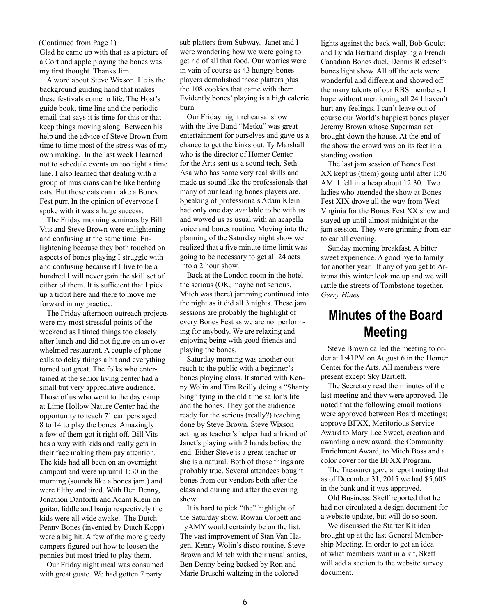Glad he came up with that as a picture of a Cortland apple playing the bones was my first thought. Thanks Jim.

A word about Steve Wixson. He is the background guiding hand that makes these festivals come to life. The Host's guide book, time line and the periodic email that says it is time for this or that keep things moving along. Between his help and the advice of Steve Brown from time to time most of the stress was of my own making. In the last week I learned not to schedule events on too tight a time line. I also learned that dealing with a group of musicians can be like herding cats. But those cats can make a Bones Fest purr. In the opinion of everyone I spoke with it was a huge success.

The Friday morning seminars by Bill Vits and Steve Brown were enlightening and confusing at the same time. Enlightening because they both touched on aspects of bones playing I struggle with and confusing because if I live to be a hundred I will never gain the skill set of either of them. It is sufficient that I pick up a tidbit here and there to move me forward in my practice.

The Friday afternoon outreach projects were my most stressful points of the weekend as I timed things too closely after lunch and did not figure on an overwhelmed restaurant. A couple of phone calls to delay things a bit and everything turned out great. The folks who entertained at the senior living center had a small but very appreciative audience. Those of us who went to the day camp at Lime Hollow Nature Center had the opportunity to teach 71 campers aged 8 to 14 to play the bones. Amazingly a few of them got it right off. Bill Vits has a way with kids and really gets in their face making them pay attention. The kids had all been on an overnight campout and were up until 1:30 in the morning (sounds like a bones jam.) and were filthy and tired. With Ben Denny, Jonathon Danforth and Adam Klein on guitar, fiddle and banjo respectively the kids were all wide awake. The Dutch Penny Bones (invented by Dutch Kopp) were a big hit. A few of the more greedy campers figured out how to loosen the pennies but most tried to play them.

Our Friday night meal was consumed with great gusto. We had gotten 7 party

(Continued from Page 1) sub platters from Subway. Janet and I were wondering how we were going to get rid of all that food. Our worries were in vain of course as 43 hungry bones players demolished those platters plus the 108 cookies that came with them. Evidently bones' playing is a high calorie burn.

> Our Friday night rehearsal show with the live Band "Metku" was great entertainment for ourselves and gave us a chance to get the kinks out. Ty Marshall who is the director of Homer Center for the Arts sent us a sound tech, Seth Asa who has some very real skills and made us sound like the professionals that many of our leading bones players are. Speaking of professionals Adam Klein had only one day available to be with us and wowed us as usual with an acapella voice and bones routine. Moving into the planning of the Saturday night show we realized that a five minute time limit was going to be necessary to get all 24 acts into a 2 hour show.

> Back at the London room in the hotel the serious (OK, maybe not serious, Mitch was there) jamming continued into the night as it did all 3 nights. These jam sessions are probably the highlight of every Bones Fest as we are not performing for anybody. We are relaxing and enjoying being with good friends and playing the bones.

> Saturday morning was another outreach to the public with a beginner's bones playing class. It started with Kenny Wolin and Tim Reilly doing a "Shanty Sing" tying in the old time sailor's life and the bones. They got the audience ready for the serious (really?) teaching done by Steve Brown. Steve Wixson acting as teacher's helper had a friend of Janet's playing with 2 hands before the end. Either Steve is a great teacher or she is a natural. Both of those things are probably true. Several attendees bought bones from our vendors both after the class and during and after the evening show.

It is hard to pick "the" highlight of the Saturday show. Rowan Corbett and ilyAMY would certainly be on the list. The vast improvement of Stan Van Hagen, Kenny Wolin's disco routine, Steve Brown and Mitch with their usual antics, Ben Denny being backed by Ron and Marie Bruschi waltzing in the colored

lights against the back wall, Bob Goulet and Lynda Bertrand displaying a French Canadian Bones duel, Dennis Riedesel's bones light show. All off the acts were wonderful and different and showed off the many talents of our RBS members. I hope without mentioning all 24 I haven't hurt any feelings. I can't leave out of course our World's happiest bones player Jeremy Brown whose Superman act brought down the house. At the end of the show the crowd was on its feet in a standing ovation.

The last jam session of Bones Fest XX kept us (them) going until after 1:30 AM. I fell in a heap about 12:30. Two ladies who attended the show at Bones Fest XIX drove all the way from West Virginia for the Bones Fest XX show and stayed up until almost midnight at the jam session. They were grinning from ear to ear all evening.

Sunday morning breakfast. A bitter sweet experience. A good bye to family for another year. If any of you get to Arizona this winter look me up and we will rattle the streets of Tombstone together. *Gerry Hines* 

## **Minutes of the Board Meeting**

Steve Brown called the meeting to order at 1:41PM on August 6 in the Homer Center for the Arts. All members were present except Sky Bartlett.

The Secretary read the minutes of the last meeting and they were approved. He noted that the following email motions were approved between Board meetings; approve BFXX, Meritorious Service Award to Mary Lee Sweet, creation and awarding a new award, the Community Enrichment Award, to Mitch Boss and a color cover for the BFXX Program.

The Treasurer gave a report noting that as of December 31, 2015 we had \$5,605 in the bank and it was approved.

Old Business. Skeff reported that he had not circulated a design document for a website update, but will do so soon.

We discussed the Starter Kit idea brought up at the last General Membership Meeting. In order to get an idea of what members want in a kit, Skeff will add a section to the website survey document.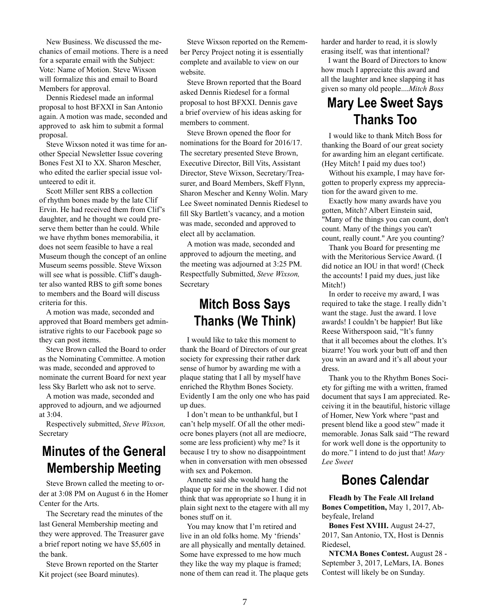New Business. We discussed the mechanics of email motions. There is a need for a separate email with the Subject: Vote: Name of Motion. Steve Wixson will formalize this and email to Board Members for approval.

Dennis Riedesel made an informal proposal to host BFXXI in San Antonio again. A motion was made, seconded and approved to ask him to submit a formal proposal.

Steve Wixson noted it was time for another Special Newsletter Issue covering Bones Fest XI to XX. Sharon Mescher, who edited the earlier special issue volunteered to edit it.

Scott Miller sent RBS a collection of rhythm bones made by the late Clif Ervin. He had received them from Clif's daughter, and he thought we could preserve them better than he could. While we have rhythm bones memorabilia, it does not seem feasible to have a real Museum though the concept of an online Museum seems possible. Steve Wixson will see what is possible. Cliff's daughter also wanted RBS to gift some bones to members and the Board will discuss criteria for this.

A motion was made, seconded and approved that Board members get administrative rights to our Facebook page so they can post items.

Steve Brown called the Board to order as the Nominating Committee. A motion was made, seconded and approved to nominate the current Board for next year less Sky Barlett who ask not to serve.

A motion was made, seconded and approved to adjourn, and we adjourned at 3:04.

Respectively submitted, *Steve Wixson,*  Secretary

# **Minutes of the General Membership Meeting**

Steve Brown called the meeting to order at 3:08 PM on August 6 in the Homer Center for the Arts.

The Secretary read the minutes of the last General Membership meeting and they were approved. The Treasurer gave a brief report noting we have \$5,605 in the bank.

Steve Brown reported on the Starter Kit project (see Board minutes).

Steve Wixson reported on the Remember Percy Project noting it is essentially complete and available to view on our website.

Steve Brown reported that the Board asked Dennis Riedesel for a formal proposal to host BFXXI. Dennis gave a brief overview of his ideas asking for members to comment.

Steve Brown opened the floor for nominations for the Board for 2016/17. The secretary presented Steve Brown, Executive Director, Bill Vits, Assistant Director, Steve Wixson, Secretary/Treasurer, and Board Members, Skeff Flynn, Sharon Mescher and Kenny Wolin. Mary Lee Sweet nominated Dennis Riedesel to fill Sky Bartlett's vacancy, and a motion was made, seconded and approved to elect all by acclamation.

A motion was made, seconded and approved to adjourn the meeting, and the meeting was adjourned at 3:25 PM. Respectfully Submitted, *Steve Wixson,*  Secretary

#### **Mitch Boss Says Thanks (We Think)**

I would like to take this moment to thank the Board of Directors of our great society for expressing their rather dark sense of humor by awarding me with a plaque stating that I all by myself have enriched the Rhythm Bones Society. Evidently I am the only one who has paid up dues.

I don't mean to be unthankful, but I can't help myself. Of all the other mediocre bones players (not all are mediocre, some are less proficient) why me? Is it because I try to show no disappointment when in conversation with men obsessed with sex and Pokemon.

Annette said she would hang the plaque up for me in the shower. I did not think that was appropriate so I hung it in plain sight next to the etagere with all my bones stuff on it.

You may know that I'm retired and live in an old folks home. My 'friends' are all physically and mentally detained. Some have expressed to me how much they like the way my plaque is framed; none of them can read it. The plaque gets harder and harder to read, it is slowly erasing itself, was that intentional?

I want the Board of Directors to know how much I appreciate this award and all the laughter and knee slapping it has given so many old people....*Mitch Boss*

## **Mary Lee Sweet Says Thanks Too**

I would like to thank Mitch Boss for thanking the Board of our great society for awarding him an elegant certificate. (Hey Mitch! I paid my dues too!)

Without his example, I may have forgotten to properly express my appreciation for the award given to me.

Exactly how many awards have you gotten, Mitch? Albert Einstein said, "Many of the things you can count, don't count. Many of the things you can't count, really count." Are you counting?

Thank you Board for presenting me with the Meritorious Service Award. (I did notice an IOU in that word! (Check the accounts! I paid my dues, just like Mitch!)

In order to receive my award, I was required to take the stage. I really didn't want the stage. Just the award. I love awards! I couldn't be happier! But like Reese Witherspoon said, "It's funny that it all becomes about the clothes. It's bizarre! You work your butt off and then you win an award and it's all about your dress.

Thank you to the Rhythm Bones Society for gifting me with a written, framed document that says I am appreciated. Receiving it in the beautiful, historic village of Homer, New York where "past and present blend like a good stew" made it memorable. Jonas Salk said "The reward for work well done is the opportunity to do more." I intend to do just that! *Mary Lee Sweet*

#### **Bones Calendar**

**Fleadh by The Feale All Ireland Bones Competition,** May 1, 2017, Abbeyfeale, Ireland

**Bones Fest XVIII.** August 24-27, 2017, San Antonio, TX, Host is Dennis Riedesel,

**NTCMA Bones Contest.** August 28 - September 3, 2017, LeMars, IA. Bones Contest will likely be on Sunday.